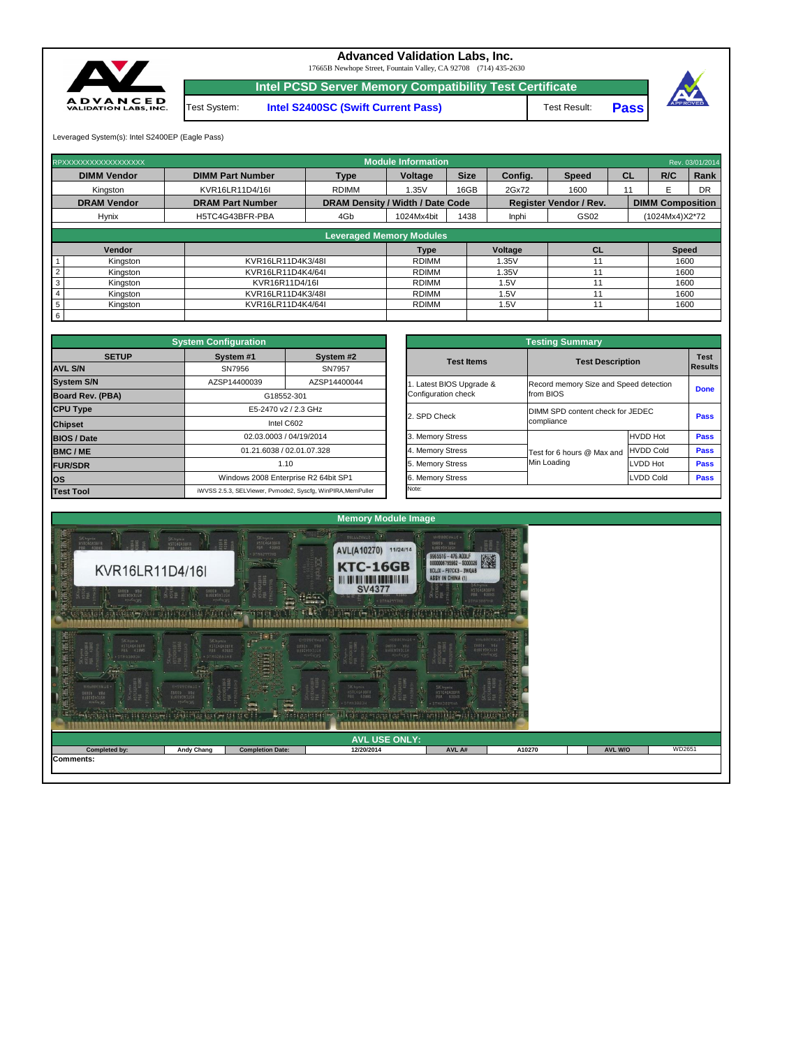

4 5 6 17665B Newhope Street, Fountain Valley, CA 92708 (714) 435-2630

**Intel PCSD Server Memory Compatibility Test Certificate**

KVR16LR11D4K4/64I | RDIMM | 1.5V | 11 | 1600

Test System: **Intel S2400SC (Swift Current Pass)** Test Result: Pass

## **Advanced Validation Labs, Inc.**

Leveraged System(s): Intel S2400EP (Eagle Pass)

|                | RPXXXXXXXXXXXXXXXXXX |                         | <b>Module Information</b>               |                |             |                               |              |                         |              |           |  |  |
|----------------|----------------------|-------------------------|-----------------------------------------|----------------|-------------|-------------------------------|--------------|-------------------------|--------------|-----------|--|--|
|                | <b>DIMM Vendor</b>   | <b>DIMM Part Number</b> | Type                                    | <b>Voltage</b> | <b>Size</b> | Config.                       | <b>Speed</b> | <b>CL</b>               | R/C          | Rank      |  |  |
|                | Kingston             | KVR16LR11D4/16I         | <b>RDIMM</b>                            | 1.35V          | 16GB        | 2Gx72                         | 1600         | 11                      |              | <b>DR</b> |  |  |
|                | <b>DRAM Vendor</b>   |                         | <b>DRAM Density / Width / Date Code</b> |                |             | <b>Register Vendor / Rev.</b> |              | <b>DIMM Composition</b> |              |           |  |  |
|                | <b>Hynix</b>         | H5TC4G43BFR-PBA         | 4Gb                                     | 1024Mx4bit     | 1438        | Inphi                         | GS02         | (1024Mx4)X2*72          |              |           |  |  |
|                |                      |                         | <b>Leveraged Memory Modules</b>         |                |             |                               |              |                         |              |           |  |  |
|                | Vendor               |                         |                                         |                |             |                               | CL           |                         | <b>Speed</b> |           |  |  |
|                |                      |                         |                                         | <b>Type</b>    |             | <b>Voltage</b>                |              |                         |              |           |  |  |
|                | Kingston             | KVR16LR11D4K3/48I       |                                         | <b>RDIMM</b>   |             | 1.35V<br>11                   |              |                         | 1600         |           |  |  |
| $\overline{2}$ | Kingston             | KVR16LR11D4K4/64I       |                                         | <b>RDIMM</b>   |             | 1.35V                         | 11           |                         | 1600         |           |  |  |
| $\vert$ 3      | Kingston             | KVR16R11D4/16I          |                                         |                |             | 1.5V                          | 11           |                         |              | 1600      |  |  |

|              | <b>System Configuration</b> |                                                             |                       | <b>Testing Summary</b>                 |                         |             |
|--------------|-----------------------------|-------------------------------------------------------------|-----------------------|----------------------------------------|-------------------------|-------------|
| <b>SETUP</b> | System #1                   | System #2<br>SN7956<br><b>SN7957</b>                        |                       |                                        | <b>Test</b>             |             |
|              |                             |                                                             |                       |                                        | <b>Test Description</b> |             |
|              | AZSP14400039                | AZSP14400044                                                | Latest BIOS Upgrade & | Record memory Size and Speed detection |                         |             |
| <b>BA)</b>   |                             | G18552-301                                                  | Configuration check   | from BIOS                              |                         | <b>Done</b> |
|              |                             | E5-2470 v2 / 2.3 GHz                                        |                       | DIMM SPD content check for JEDEC       | <b>Pass</b>             |             |
|              | Intel C602                  |                                                             | 2. SPD Check          | compliance                             |                         |             |
|              |                             | 02.03.0003 / 04/19/2014                                     | 3. Memory Stress      |                                        | <b>HVDD Hot</b>         | <b>Pass</b> |
|              |                             | 01.21.6038 / 02.01.07.328                                   | 4. Memory Stress      | Test for 6 hours @ Max and             | <b>HVDD Cold</b>        | <b>Pass</b> |
|              |                             | 1.10                                                        |                       | Min Loading                            | <b>LVDD Hot</b>         | <b>Pass</b> |
|              |                             | Windows 2008 Enterprise R2 64bit SP1                        | 6. Memory Stress      |                                        | LVDD Cold               | <b>Pass</b> |
|              |                             | iWVSS 2.5.3. SELViewer, Pymode2, Syscfa, WinPIRA, MemPuller | Note:                 |                                        |                         |             |

Kingston KVR16LR11D4K3/48I RDIMM 1.5V



11 1600

|                         | <b>System Configuration</b> |                                                             |                       | <b>Testing Summary</b>                 |                  |             |  |
|-------------------------|-----------------------------|-------------------------------------------------------------|-----------------------|----------------------------------------|------------------|-------------|--|
| <b>SETUP</b>            | System #1                   | System #2<br>SN7956<br>SN7957                               |                       | <b>Test Description</b>                |                  | <b>Test</b> |  |
| <b>AVL S/N</b>          |                             |                                                             |                       |                                        |                  |             |  |
| <b>System S/N</b>       | AZSP14400039                | AZSP14400044                                                | Latest BIOS Upgrade & | Record memory Size and Speed detection |                  | <b>Done</b> |  |
| <b>Board Rev. (PBA)</b> |                             | G18552-301                                                  | Configuration check   | from BIOS                              |                  |             |  |
| <b>CPU Type</b>         |                             | E5-2470 v2 / 2.3 GHz                                        |                       | DIMM SPD content check for JEDEC       |                  |             |  |
| <b>Chipset</b>          |                             | Intel C602                                                  | 2. SPD Check          | compliance                             | <b>Pass</b>      |             |  |
| <b>BIOS / Date</b>      |                             | 02.03.0003 / 04/19/2014                                     | 3. Memory Stress      |                                        | <b>HVDD Hot</b>  | <b>Pass</b> |  |
| <b>BMC/ME</b>           |                             | 01.21.6038 / 02.01.07.328                                   | 4. Memory Stress      | Test for 6 hours @ Max and             | <b>HVDD Cold</b> | <b>Pass</b> |  |
| <b>FUR/SDR</b>          |                             | 1.10                                                        | 5. Memory Stress      | Min Loading                            | LVDD Hot         | <b>Pass</b> |  |
| <b>OS</b>               |                             | Windows 2008 Enterprise R2 64bit SP1                        | 6. Memory Stress      |                                        | <b>LVDD Cold</b> | <b>Pass</b> |  |
| <b>Test Tool</b>        |                             | iWVSS 2.5.3, SELViewer, Pvmode2, Syscfg, WinPIRA, MemPuller | Note:                 |                                        |                  |             |  |

| 普通<br>SHBED VBd<br>11:00 29 2 3 1 5 1<br><b>ZKHULE</b><br>CA de nesse (166 - Groepeeresseres) e para esse a l'accepterent els compos.<br>Camis 1919, 1961 : 1 - 1971, 1981, 1982, 1983, 1983, 1983, 1983, 1984, 1985, 1986<br><b>SEP</b> | SVEED VON<br>HJELDSDUJLSH<br><b>XILLEY</b> | $-1$<br><b>Caption</b><br><b>CONGERED TOLD</b><br>$-1$ | <b>SKhynix</b><br>H5TC4G43BFR<br>HEBBEANT!<br><b>START</b><br><b>Aver</b><br><b>LEAR AND REPORTED</b><br><b>CHANNEL</b> | <b>SK</b> hynix<br>H5TC4G438FR<br>PBA 438HS<br><b>DIMASBERHA</b><br><b>CONTRACTOR</b><br><b>CARDINAL COMPANY</b><br><b>SERV</b> |        |                |        |  |  |
|------------------------------------------------------------------------------------------------------------------------------------------------------------------------------------------------------------------------------------------|--------------------------------------------|--------------------------------------------------------|-------------------------------------------------------------------------------------------------------------------------|---------------------------------------------------------------------------------------------------------------------------------|--------|----------------|--------|--|--|
| <b>AVL USE ONLY:</b>                                                                                                                                                                                                                     |                                            |                                                        |                                                                                                                         |                                                                                                                                 |        |                |        |  |  |
| <b>Completed by:</b>                                                                                                                                                                                                                     | <b>Andy Chang</b>                          | <b>Completion Date:</b>                                | 12/20/2014                                                                                                              | AVL A#                                                                                                                          | A10270 | <b>AVL W/O</b> | WD2651 |  |  |